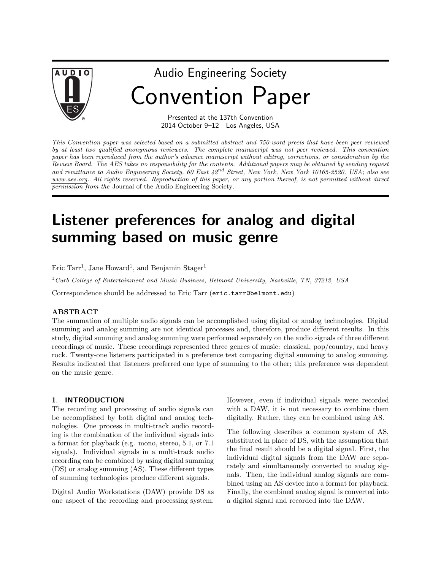

# Audio Engineering Society Convention Paper

Presented at the 137th Convention 2014 October 9–12 Los Angeles, USA

This Convention paper was selected based on a submitted abstract and 750-word precis that have been peer reviewed by at least two qualified anonymous reviewers. The complete manuscript was not peer reviewed. This convention paper has been reproduced from the author's advance manuscript without editing, corrections, or consideration by the Review Board. The AES takes no responsibility for the contents. Additional papers may be obtained by sending request and remittance to Audio Engineering Society, 60 East  $42^{nd}$  Street, New York, New York 10165-2520, USA; also see www.aes.org. All rights reserved. Reproduction of this paper, or any portion thereof, is not permitted without direct permission from the Journal of the Audio Engineering Society.

# Listener preferences for analog and digital summing based on music genre

Eric Tarr<sup>1</sup>, Jane Howard<sup>1</sup>, and Benjamin Stager<sup>1</sup>

<sup>1</sup>Curb College of Entertainment and Music Business, Belmont University, Nashville, TN, 37212, USA

Correspondence should be addressed to Eric Tarr (eric.tarr@belmont.edu)

#### ABSTRACT

The summation of multiple audio signals can be accomplished using digital or analog technologies. Digital summing and analog summing are not identical processes and, therefore, produce different results. In this study, digital summing and analog summing were performed separately on the audio signals of three different recordings of music. These recordings represented three genres of music: classical, pop/country, and heavy rock. Twenty-one listeners participated in a preference test comparing digital summing to analog summing. Results indicated that listeners preferred one type of summing to the other; this preference was dependent on the music genre.

#### 1. INTRODUCTION

The recording and processing of audio signals can be accomplished by both digital and analog technologies. One process in multi-track audio recording is the combination of the individual signals into a format for playback (e.g. mono, stereo, 5.1, or 7.1 signals). Individual signals in a multi-track audio recording can be combined by using digital summing (DS) or analog summing (AS). These different types of summing technologies produce different signals.

Digital Audio Workstations (DAW) provide DS as one aspect of the recording and processing system. However, even if individual signals were recorded with a DAW, it is not necessary to combine them digitally. Rather, they can be combined using AS.

The following describes a common system of AS, substituted in place of DS, with the assumption that the final result should be a digital signal. First, the individual digital signals from the DAW are separately and simultaneously converted to analog signals. Then, the individual analog signals are combined using an AS device into a format for playback. Finally, the combined analog signal is converted into a digital signal and recorded into the DAW.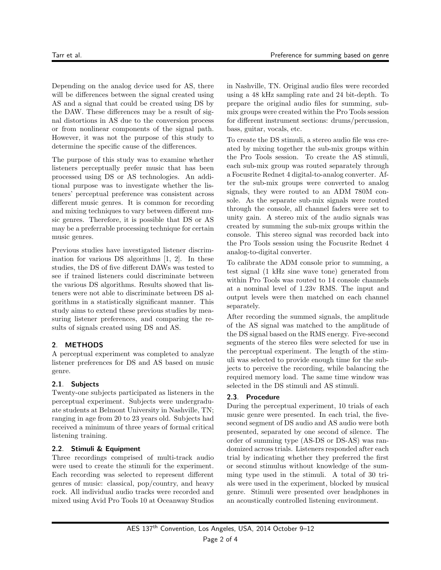Depending on the analog device used for AS, there will be differences between the signal created using AS and a signal that could be created using DS by the DAW. These differences may be a result of signal distortions in AS due to the conversion process or from nonlinear components of the signal path. However, it was not the purpose of this study to determine the specific cause of the differences.

The purpose of this study was to examine whether listeners perceptually prefer music that has been processed using DS or AS technologies. An additional purpose was to investigate whether the listeners' perceptual preference was consistent across different music genres. It is common for recording and mixing techniques to vary between different music genres. Therefore, it is possible that DS or AS may be a preferrable processing technique for certain music genres.

Previous studies have investigated listener discrimination for various DS algorithms [1, 2]. In these studies, the DS of five different DAWs was tested to see if trained listeners could discriminate between the various DS algorithms. Results showed that listeners were not able to discriminate between DS algorithms in a statistically significant manner. This study aims to extend these previous studies by measuring listener preferences, and comparing the results of signals created using DS and AS.

# 2. METHODS

A perceptual experiment was completed to analyze listener preferences for DS and AS based on music genre.

# 2.1. Subjects

Twenty-one subjects participated as listeners in the perceptual experiment. Subjects were undergraduate students at Belmont University in Nashville, TN; ranging in age from 20 to 23 years old. Subjects had received a minimum of three years of formal critical listening training.

#### 2.2. Stimuli & Equipment

Three recordings comprised of multi-track audio were used to create the stimuli for the experiment. Each recording was selected to represent different genres of music: classical, pop/country, and heavy rock. All individual audio tracks were recorded and mixed using Avid Pro Tools 10 at Oceanway Studios in Nashville, TN. Original audio files were recorded using a 48 kHz sampling rate and 24 bit-depth. To prepare the original audio files for summing, submix groups were created within the Pro Tools session for different instrument sections: drums/percussion, bass, guitar, vocals, etc.

To create the DS stimuli, a stereo audio file was created by mixing together the sub-mix groups within the Pro Tools session. To create the AS stimuli, each sub-mix group was routed separately through a Focusrite Rednet 4 digital-to-analog converter. After the sub-mix groups were converted to analog signals, they were routed to an ADM 780M console. As the separate sub-mix signals were routed through the console, all channel faders were set to unity gain. A stereo mix of the audio signals was created by summing the sub-mix groups within the console. This stereo signal was recorded back into the Pro Tools session using the Focusrite Rednet 4 analog-to-digital converter.

To calibrate the ADM console prior to summing, a test signal (1 kHz sine wave tone) generated from within Pro Tools was routed to 14 console channels at a nominal level of 1.23v RMS. The input and output levels were then matched on each channel separately.

After recording the summed signals, the amplitude of the AS signal was matched to the amplitude of the DS signal based on the RMS energy. Five-second segments of the stereo files were selected for use in the perceptual experiment. The length of the stimuli was selected to provide enough time for the subjects to perceive the recording, while balancing the required memory load. The same time window was selected in the DS stimuli and AS stimuli.

# 2.3. Procedure

During the perceptual experiment, 10 trials of each music genre were presented. In each trial, the fivesecond segment of DS audio and AS audio were both presented, separated by one second of silence. The order of summing type (AS-DS or DS-AS) was randomized across trials. Listeners responded after each trial by indicating whether they preferred the first or second stimulus without knowledge of the summing type used in the stimuli. A total of 30 trials were used in the experiment, blocked by musical genre. Stimuli were presented over headphones in an acoustically controlled listening environment.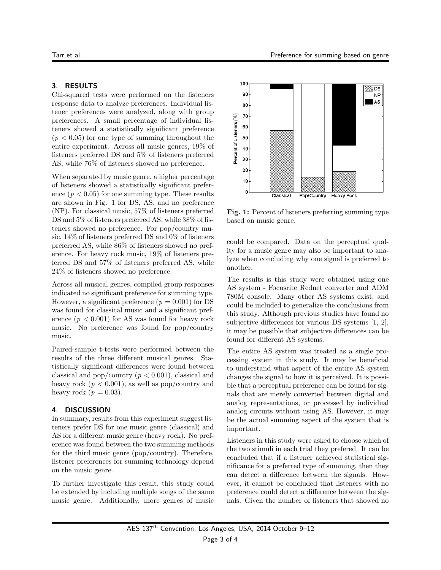#### 3. RESULTS

Chi-squared tests were performed on the listeners response data to analyze preferences. Individual listener preferences were analyzed, along with group preferences. A small percentage of individual listeners showed a statistically significant preference  $(p < 0.05)$  for one type of summing throughout the entire experiment. Across all music genres, 19% of listeners preferred DS and 5% of listeners preferred AS, while 76% of listeners showed no preference.

When separated by music genre, a higher percentage of listeners showed a statistically significant preference  $(p < 0.05)$  for one summing type. These results are shown in Fig. 1 for DS, AS, and no preference (NP). For classical music, 57% of listeners preferred DS and  $5\%$  of listeners preferred AS, while  $38\%$  of listeners showed no preference. For pop/country music, 14% of listeners preferred DS and 0% of listeners preferred AS, while 86% of listeners showed no preference. For heavy rock music, 19% of listeners preferred DS and 57% of listeners preferred AS, while 24% of listeners showed no preference.

Across all musical genres, compiled group responses indicated no significant preference for summing type. However, a significant preference ( $p = 0.001$ ) for DS was found for classical music and a significant preference  $(p < 0.001)$  for AS was found for heavy rock music. No preference was found for pop/country music.

Paired-sample t-tests were performed between the results of the three different musical genres. Statistically significant differences were found between classical and pop/country  $(p < 0.001)$ , classical and heavy rock  $(p < 0.001)$ , as well as pop/country and heavy rock  $(p = 0.03)$ .

#### 4. DISCUSSION

In summary, results from this experiment suggest listeners prefer DS for one music genre (classical) and AS for a different music genre (heavy rock). No preference was found between the two summing methods for the third music genre (pop/country). Therefore, listener preferences for summing technology depend on the music genre.

To further investigate this result, this study could be extended by including multiple songs of the same music genre. Additionally, more genres of music



Fig. 1: Percent of listeners preferring summing type based on music genre.

could be compared. Data on the perceptual quality for a music genre may also be important to analyze when concluding why one signal is preferred to another.

The results is this study were obtained using one AS system - Focusrite Rednet converter and ADM 780M console. Many other AS systems exist, and could be included to generalize the conclusions from this study. Although previous studies have found no subjective differences for various DS systems [1, 2], it may be possible that subjective differences can be found for different AS systems.

The entire AS system was treated as a single processing system in this study. It may be beneficial to understand what aspect of the entire AS system changes the signal to how it is perceived. It is possible that a perceptual preference can be found for signals that are merely converted between digital and analog representations, or processed by individual analog circuits without using AS. However, it may be the actual summing aspect of the system that is important.

Listeners in this study were asked to choose which of the two stimuli in each trial they prefered. It can be concluded that if a listener achieved statistical significance for a preferred type of summing, then they can detect a difference between the signals. However, it cannot be concluded that listeners with no preference could detect a difference between the signals. Given the number of listeners that showed no